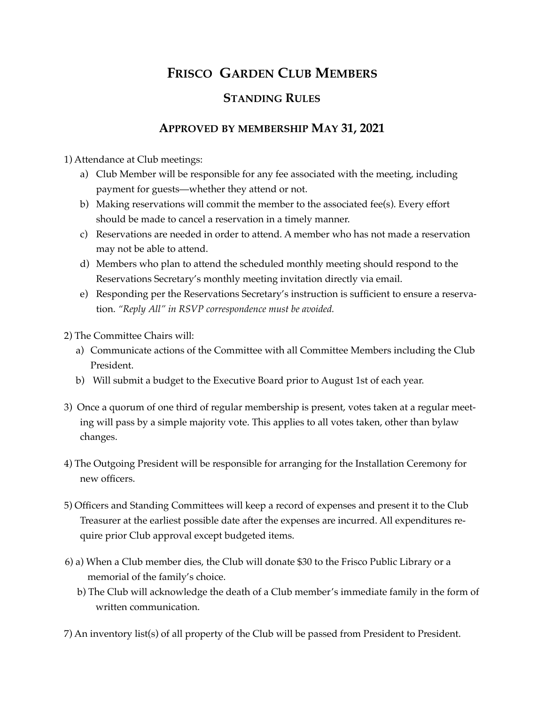## **FRISCO GARDEN CLUB MEMBERS**

## **STANDING RULES**

## **APPROVED BY MEMBERSHIP MAY 31, 2021**

1) Attendance at Club meetings:

- a) Club Member will be responsible for any fee associated with the meeting, including payment for guests—whether they attend or not.
- b) Making reservations will commit the member to the associated fee(s). Every effort should be made to cancel a reservation in a timely manner.
- c) Reservations are needed in order to attend. A member who has not made a reservation may not be able to attend.
- d) Members who plan to attend the scheduled monthly meeting should respond to the Reservations Secretary's monthly meeting invitation directly via email.
- e) Responding per the Reservations Secretary's instruction is sufficient to ensure a reservation. *"Reply All" in RSVP correspondence must be avoided.*
- 2) The Committee Chairs will:
	- a) Communicate actions of the Committee with all Committee Members including the Club President.
	- b) Will submit a budget to the Executive Board prior to August 1st of each year.
- 3) Once a quorum of one third of regular membership is present, votes taken at a regular meeting will pass by a simple majority vote. This applies to all votes taken, other than bylaw changes.
- 4) The Outgoing President will be responsible for arranging for the Installation Ceremony for new officers.
- 5) Officers and Standing Committees will keep a record of expenses and present it to the Club Treasurer at the earliest possible date after the expenses are incurred. All expenditures require prior Club approval except budgeted items.
- 6) a) When a Club member dies, the Club will donate \$30 to the Frisco Public Library or a memorial of the family's choice.
	- b) The Club will acknowledge the death of a Club member's immediate family in the form of written communication.
- 7) An inventory list(s) of all property of the Club will be passed from President to President.